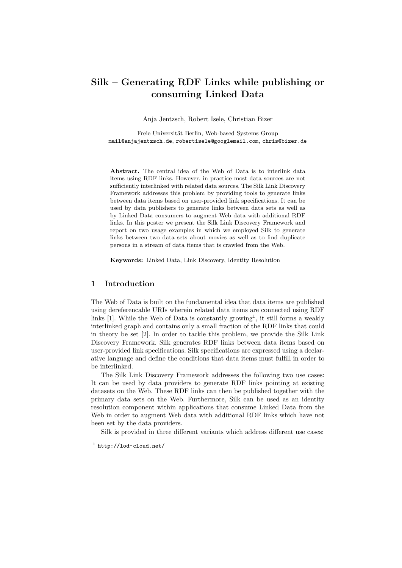# Silk – Generating RDF Links while publishing or consuming Linked Data

Anja Jentzsch, Robert Isele, Christian Bizer

Freie Universität Berlin, Web-based Systems Group mail@anjajentzsch.de, robertisele@googlemail.com, chris@bizer.de

Abstract. The central idea of the Web of Data is to interlink data items using RDF links. However, in practice most data sources are not sufficiently interlinked with related data sources. The Silk Link Discovery Framework addresses this problem by providing tools to generate links between data items based on user-provided link specifications. It can be used by data publishers to generate links between data sets as well as by Linked Data consumers to augment Web data with additional RDF links. In this poster we present the Silk Link Discovery Framework and report on two usage examples in which we employed Silk to generate links between two data sets about movies as well as to find duplicate persons in a stream of data items that is crawled from the Web.

Keywords: Linked Data, Link Discovery, Identity Resolution

### 1 Introduction

The Web of Data is built on the fundamental idea that data items are published using dereferencable URIs wherein related data items are connected using RDF links  $[1]$ . While the Web of Data is constantly growing<sup>1</sup>, it still forms a weakly interlinked graph and contains only a small fraction of the RDF links that could in theory be set [2]. In order to tackle this problem, we provide the Silk Link Discovery Framework. Silk generates RDF links between data items based on user-provided link specifications. Silk specifications are expressed using a declarative language and define the conditions that data items must fulfill in order to be interlinked.

The Silk Link Discovery Framework addresses the following two use cases: It can be used by data providers to generate RDF links pointing at existing datasets on the Web. These RDF links can then be published together with the primary data sets on the Web. Furthermore, Silk can be used as an identity resolution component within applications that consume Linked Data from the Web in order to augment Web data with additional RDF links which have not been set by the data providers.

Silk is provided in three different variants which address different use cases:

 $1$  http://lod-cloud.net/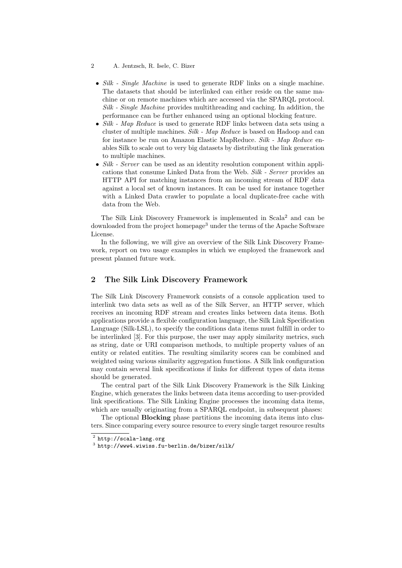- Silk Single Machine is used to generate RDF links on a single machine. The datasets that should be interlinked can either reside on the same machine or on remote machines which are accessed via the SPARQL protocol. Silk - Single Machine provides multithreading and caching. In addition, the performance can be further enhanced using an optional blocking feature.
- Silk Map Reduce is used to generate RDF links between data sets using a cluster of multiple machines. Silk - Map Reduce is based on Hadoop and can for instance be run on Amazon Elastic MapReduce. Silk - Map Reduce enables Silk to scale out to very big datasets by distributing the link generation to multiple machines.
- Silk Server can be used as an identity resolution component within applications that consume Linked Data from the Web. Silk - Server provides an HTTP API for matching instances from an incoming stream of RDF data against a local set of known instances. It can be used for instance together with a Linked Data crawler to populate a local duplicate-free cache with data from the Web.

The Silk Link Discovery Framework is implemented in Scala<sup>2</sup> and can be downloaded from the project homepage<sup>3</sup> under the terms of the Apache Software License.

In the following, we will give an overview of the Silk Link Discovery Framework, report on two usage examples in which we employed the framework and present planned future work.

## 2 The Silk Link Discovery Framework

The Silk Link Discovery Framework consists of a console application used to interlink two data sets as well as of the Silk Server, an HTTP server, which receives an incoming RDF stream and creates links between data items. Both applications provide a flexible configuration language, the Silk Link Specification Language (Silk-LSL), to specify the conditions data items must fulfill in order to be interlinked [3]. For this purpose, the user may apply similarity metrics, such as string, date or URI comparison methods, to multiple property values of an entity or related entities. The resulting similarity scores can be combined and weighted using various similarity aggregation functions. A Silk link configuration may contain several link specifications if links for different types of data items should be generated.

The central part of the Silk Link Discovery Framework is the Silk Linking Engine, which generates the links between data items according to user-provided link specifications. The Silk Linking Engine processes the incoming data items, which are usually originating from a SPARQL endpoint, in subsequent phases:

The optional Blocking phase partitions the incoming data items into clusters. Since comparing every source resource to every single target resource results

<sup>2</sup> A. Jentzsch, R. Isele, C. Bizer

 $^2$  http://scala-lang.org

 $^3$  http://www4.wiwiss.fu-berlin.de/bizer/silk/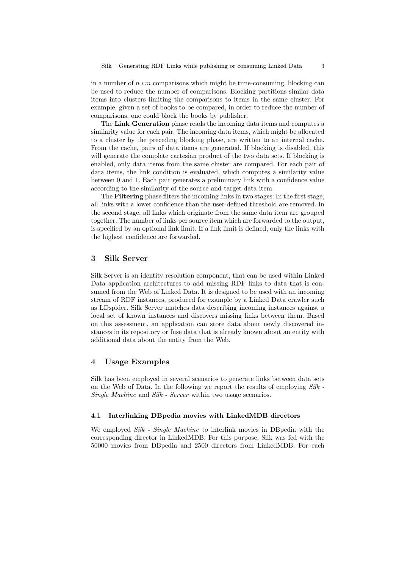in a number of  $n * m$  comparisons which might be time-consuming, blocking can be used to reduce the number of comparisons. Blocking partitions similar data items into clusters limiting the comparisons to items in the same cluster. For example, given a set of books to be compared, in order to reduce the number of comparisons, one could block the books by publisher.

The Link Generation phase reads the incoming data items and computes a similarity value for each pair. The incoming data items, which might be allocated to a cluster by the preceding blocking phase, are written to an internal cache. From the cache, pairs of data items are generated. If blocking is disabled, this will generate the complete cartesian product of the two data sets. If blocking is enabled, only data items from the same cluster are compared. For each pair of data items, the link condition is evaluated, which computes a similarity value between 0 and 1. Each pair generates a preliminary link with a confidence value according to the similarity of the source and target data item.

The Filtering phase filters the incoming links in two stages: In the first stage, all links with a lower confidence than the user-defined threshold are removed. In the second stage, all links which originate from the same data item are grouped together. The number of links per source item which are forwarded to the output, is specified by an optional link limit. If a link limit is defined, only the links with the highest confidence are forwarded.

### 3 Silk Server

Silk Server is an identity resolution component, that can be used within Linked Data application architectures to add missing RDF links to data that is consumed from the Web of Linked Data. It is designed to be used with an incoming stream of RDF instances, produced for example by a Linked Data crawler such as LDspider. Silk Server matches data describing incoming instances against a local set of known instances and discovers missing links between them. Based on this assessment, an application can store data about newly discovered instances in its repository or fuse data that is already known about an entity with additional data about the entity from the Web.

### 4 Usage Examples

Silk has been employed in several scenarios to generate links between data sets on the Web of Data. In the following we report the results of employing  $Silk$ . Single Machine and Silk - Server within two usage scenarios.

#### 4.1 Interlinking DBpedia movies with LinkedMDB directors

We employed Silk - Single Machine to interlink movies in DB pedia with the corresponding director in LinkedMDB. For this purpose, Silk was fed with the 50000 movies from DBpedia and 2500 directors from LinkedMDB. For each